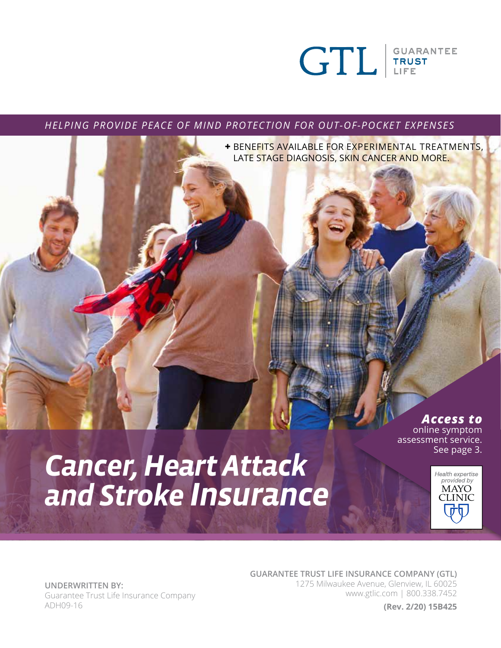

*HELPING PROVIDE PEACE OF MIND PROTECTION FOR OUT-OF-POCKET EXPENSES*

**+** BENEFITS AVAILABLE FOR EXPERIMENTAL TREATMENTS, LATE STAGE DIAGNOSIS, SKIN CANCER AND MORE.

## *Access to*

Health expertise<br>provided by **MAYO CLINIC** 

online symptom assessment service. See page 3.

# *Cancer, Heart Attack and Stroke Insurance*

**GUARANTEE TRUST LIFE INSURANCE COMPANY (GTL)** 

1275 Milwaukee Avenue, Glenview, IL 60025 www.gtlic.com | 800.338.7452

**(Rev. 2/20) 15B425**

**UNDERWRITTEN BY:** Guarantee Trust Life Insurance Company ADH09-16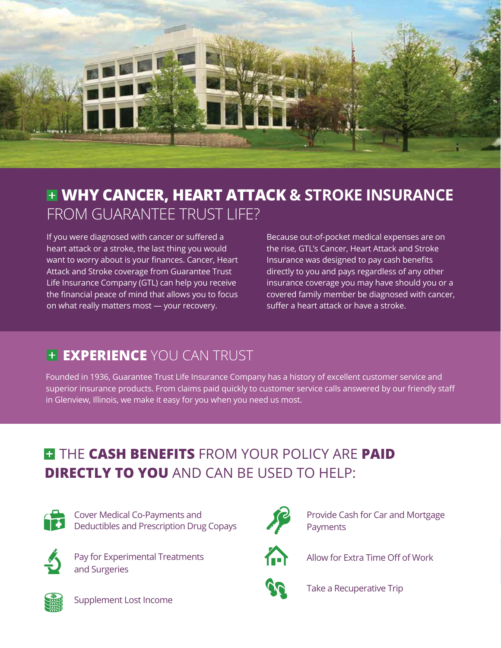

# **WHY CANCER, HEART ATTACK & STROKE INSURANCE**  FROM GUARANTEE TRUST LIFE?

If you were diagnosed with cancer or suffered a heart attack or a stroke, the last thing you would want to worry about is your finances. Cancer, Heart Attack and Stroke coverage from Guarantee Trust Life Insurance Company (GTL) can help you receive the financial peace of mind that allows you to focus on what really matters most — your recovery.

Because out-of-pocket medical expenses are on the rise, GTL's Cancer, Heart Attack and Stroke Insurance was designed to pay cash benefits directly to you and pays regardless of any other insurance coverage you may have should you or a covered family member be diagnosed with cancer, suffer a heart attack or have a stroke.

# **EXPERIENCE** YOU CAN TRUST

Founded in 1936, Guarantee Trust Life Insurance Company has a history of excellent customer service and superior insurance products. From claims paid quickly to customer service calls answered by our friendly staff in Glenview, Illinois, we make it easy for you when you need us most.

# **THE CASH BENEFITS** FROM YOUR POLICY ARE PAID **DIRECTLY TO YOU** AND CAN BE USED TO HELP:



Cover Medical Co-Payments and Deductibles and Prescription Drug Copays



 Pay for Experimental Treatments and Surgeries



 Provide Cash for Car and Mortgage **Payments** 



Allow for Extra Time Off of Work



Take a Recuperative Trip



Supplement Lost Income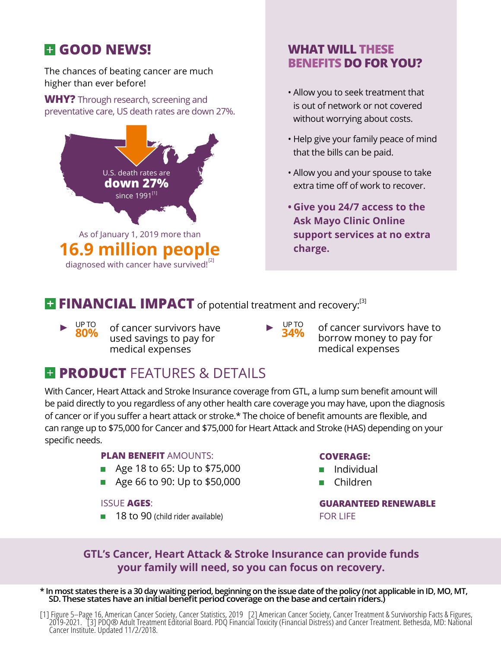# **GOOD NEWS!**

The chances of beating cancer are much higher than ever before!

**WHY?** Through research, screening and preventative care, US death rates are down 27%.



### **WHAT WILL THESE BENEFITS DO FOR YOU?**

- Allow you to seek treatment that is out of network or not covered without worrying about costs.
- Help give your family peace of mind that the bills can be paid.
- Allow you and your spouse to take extra time off of work to recover.
- **Give you 24/7 access to the Ask Mayo Clinic Online support services at no extra charge.**

## **FINANCIAL IMPACT** of potential treatment and recovery:<sup>[3]</sup>

- **80%** of cancer survivors have **► UPTO** 80% of cancer survivors have **► 34%** used savings to pay for medical expenses
- 
- of cancer survivors have to borrow money to pay for medical expenses

# **E PRODUCT FEATURES & DETAILS**

With Cancer, Heart Attack and Stroke Insurance coverage from GTL, a lump sum benefit amount will be paid directly to you regardless of any other health care coverage you may have, upon the diagnosis of cancer or if you suffer a heart attack or stroke.\* The choice of benefit amounts are flexible, and can range up to \$75,000 for Cancer and \$75,000 for Heart Attack and Stroke (HAS) depending on your specific needs.

#### **PLAN BENEFIT** AMOUNTS:

- Age 18 to 65: Up to \$75,000
- Age 66 to 90: Up to \$50,000

#### ISSUE **AGES**:

18 to 90 (child rider available)

#### **COVERAGE:**

- **I** Individual
- Children

**GUARANTEED RENEWABLE**  FOR LIFE

### **GTL's Cancer, Heart Attack & Stroke Insurance can provide funds your family will need, so you can focus on recovery.**

**\* In most states there is a 30 day waiting period, beginning on the issue date of the policy (not applicable in ID, MO, MT, SD. These states have an initial benefit period coverage on the base and certain riders.)**

[1] Figure 5–Page 16, American Cancer Society, Cancer Statistics, 2019 [2] American Cancer Society, Cancer Treatment & Survivorship Facts & Figures, 2019-2021. [3] PDQ® Adult Treatment Editorial Board. PDQ Financial Toxicity (Financial Distress) and Cancer Treatment. Bethesda, MD: National Cancer Institute. Updated 11/2/2018.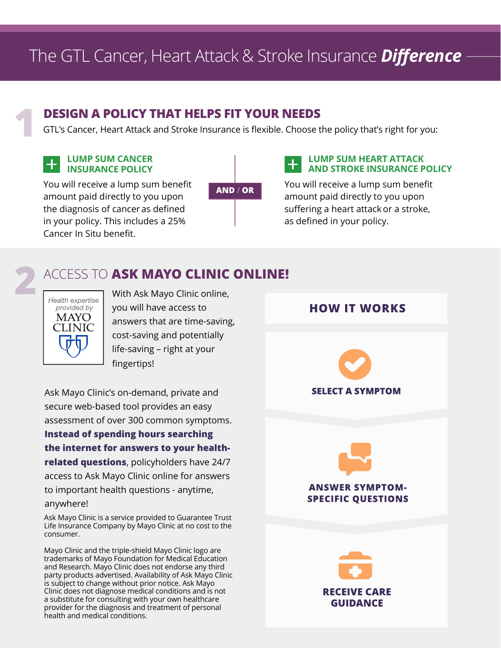# The GTL Cancer, Heart Attack & Stroke Insurance *Difference*

**2**

# **1 DESIGN A POLICY THAT HELPS FIT YOUR NEEDS**<br>GTL's Cancer, Heart Attack and Stroke Insurance is flexible. Choose there

GTL's Cancer, Heart Attack and Stroke Insurance is flexible. Choose the policy that's right for you:

#### **LUMP SUM CANCER**  $\pm$ **INSURANCE POLICY**

**AND** / **OR** You will receive a lump sum benefit amount paid directly to you upon the diagnosis of cancer as defined in your policy. This includes a 25% Cancer In Situ benefit.

#### **LUMP SUM HEART ATTACK AND STROKE INSURANCE POLICY**

You will receive a lump sum benefit amount paid directly to you upon suffering a heart attack or a stroke, as defined in your policy.

# ACCESS TO **ASK MAYO CLINIC ONLINE!**



With Ask Mayo Clinic online, you will have access to answers that are time-saving, cost-saving and potentially life-saving – right at your fingertips!

Ask Mayo Clinic's on-demand, private and secure web-based tool provides an easy assessment of over 300 common symptoms. **Instead of spending hours searching the internet for answers to your healthrelated questions**, policyholders have 24/7 access to Ask Mayo Clinic online for answers to important health questions - anytime, anywhere!

Ask Mayo Clinic is a service provided to Guarantee Trust Life Insurance Company by Mayo Clinic at no cost to the consumer.

Mayo Clinic and the triple-shield Mayo Clinic logo are trademarks of Mayo Foundation for Medical Education and Research. Mayo Clinic does not endorse any third party products advertised. Availability of Ask Mayo Clinic is subject to change without prior notice. Ask Mayo Clinic does not diagnose medical conditions and is not a substitute for consulting with your own healthcare provider for the diagnosis and treatment of personal health and medical conditions.

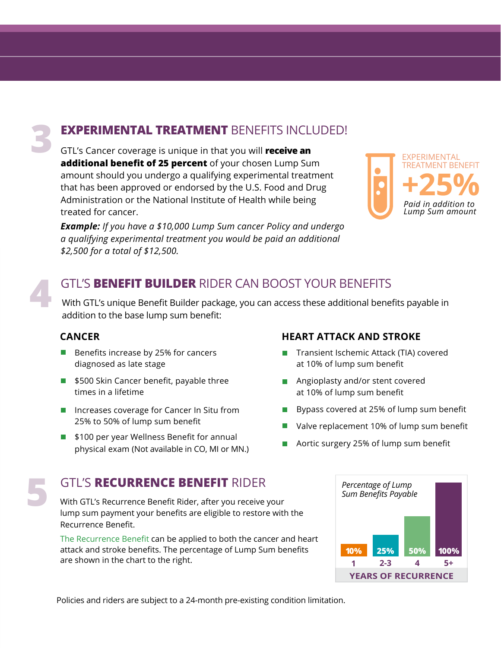# **EXPERIMENTAL TREATMENT** BENEFITS INCLUDED!

GTL's Cancer coverage is unique in that you will **receive an additional benefit of 25 percent** of your chosen Lump Sum amount should you undergo a qualifying experimental treatment that has been approved or endorsed by the U.S. Food and Drug Administration or the National Institute of Health while being treated for cancer.

*Example: If you have a \$10,000 Lump Sum cancer Policy and undergo a qualifying experimental treatment you would be paid an additional \$2,500 for a total of \$12,500.*



### GTL'S **BENEFIT BUILDER** RIDER CAN BOOST YOUR BENEFITS

With GTL's unique Benefit Builder package, you can access these additional benefits payable in addition to the base lump sum benefit:

#### **CANCER**

**4**

- Benefits increase by 25% for cancers diagnosed as late stage
- \$500 Skin Cancer benefit, payable three times in a lifetime
- Increases coverage for Cancer In Situ from 25% to 50% of lump sum benefit
- \$100 per year Wellness Benefit for annual physical exam (Not available in CO, MI or MN.)

GTL'S RECURRENCE BENEFIT RIDER<br>
With GTL's Recurrence Benefit Rider, after you receive your<br> **11.120.000 Percentage of Lump Sum Benefits Payable 10 receive with the** With GTL's Recurrence Benefit Rider, after you receive your lump sum payment your benefits are eligible to restore with the Recurrence Benefit.

The Recurrence Benefit can be applied to both the cancer and heart attack and stroke benefits. The percentage of Lump Sum benefits are shown in the chart to the right.

#### **HEART ATTACK AND STROKE**

- Transient Ischemic Attack (TIA) covered at 10% of lump sum benefit
- **Angioplasty and/or stent covered** at 10% of lump sum benefit
- Bypass covered at 25% of lump sum benefit
- Valve replacement 10% of lump sum benefit
- Aortic surgery 25% of lump sum benefit



Policies and riders are subject to a 24-month pre-existing condition limitation.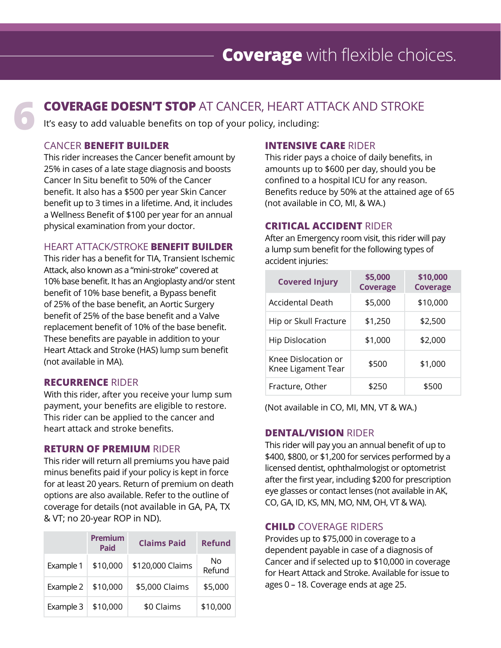# **COVERAGE DOESN'T STOP** AT CANCER, HEART ATTACK AND STROKE **1<sup>t's</sup> easy to add valuable benefits on top of your policy, including:**

#### CANCER **BENEFIT BUILDER**

This rider increases the Cancer benefit amount by 25% in cases of a late stage diagnosis and boosts Cancer In Situ benefit to 50% of the Cancer benefit. It also has a \$500 per year Skin Cancer benefit up to 3 times in a lifetime. And, it includes a Wellness Benefit of \$100 per year for an annual physical examination from your doctor.

#### HEART ATTACK/STROKE **BENEFIT BUILDER**

This rider has a benefit for TIA, Transient Ischemic Attack, also known as a "mini-stroke" covered at 10% base benefit. It has an Angioplasty and/or stent benefit of 10% base benefit, a Bypass benefit of 25% of the base benefit, an Aortic Surgery benefit of 25% of the base benefit and a Valve replacement benefit of 10% of the base benefit. These benefits are payable in addition to your Heart Attack and Stroke (HAS) lump sum benefit (not available in MA).

#### **RECURRENCE** RIDER

With this rider, after you receive your lump sum payment, your benefits are eligible to restore. This rider can be applied to the cancer and heart attack and stroke benefits.

#### **RETURN OF PREMIUM** RIDER

This rider will return all premiums you have paid minus benefits paid if your policy is kept in force for at least 20 years. Return of premium on death options are also available. Refer to the outline of coverage for details (not available in GA, PA, TX & VT; no 20-year ROP in ND).

|           | <b>Premium</b><br><b>Paid</b> | <b>Claims Paid</b> | <b>Refund</b> |
|-----------|-------------------------------|--------------------|---------------|
| Example 1 | \$10,000                      | \$120,000 Claims   | No<br>Refund  |
| Example 2 | \$10,000                      | \$5,000 Claims     | \$5,000       |
| Example 3 | \$10,000                      | \$0 Claims         | \$10,000      |

#### **INTENSIVE CARE** RIDER

This rider pays a choice of daily benefits, in amounts up to \$600 per day, should you be confined to a hospital ICU for any reason. Benefits reduce by 50% at the attained age of 65 (not available in CO, MI, & WA.)

#### **CRITICAL ACCIDENT** RIDER

After an Emergency room visit, this rider will pay a lump sum benefit for the following types of accident injuries:

| <b>Covered Injury</b>                     | \$5,000<br><b>Coverage</b> | \$10,000<br><b>Coverage</b> |
|-------------------------------------------|----------------------------|-----------------------------|
| <b>Accidental Death</b>                   | \$5,000                    | \$10,000                    |
| Hip or Skull Fracture                     | \$1,250                    | \$2,500                     |
| <b>Hip Dislocation</b>                    | \$1,000                    | \$2,000                     |
| Knee Dislocation or<br>Knee Ligament Tear | \$500                      | \$1,000                     |
| Fracture, Other                           | \$250                      | \$500                       |

(Not available in CO, MI, MN, VT & WA.)

#### **DENTAL/VISION** RIDER

This rider will pay you an annual benefit of up to \$400, \$800, or \$1,200 for services performed by a licensed dentist, ophthalmologist or optometrist after the first year, including \$200 for prescription eye glasses or contact lenses (not available in AK, CO, GA, ID, KS, MN, MO, NM, OH, VT & WA).

#### **CHILD** COVERAGE RIDERS

Provides up to \$75,000 in coverage to a dependent payable in case of a diagnosis of Cancer and if selected up to \$10,000 in coverage for Heart Attack and Stroke. Available for issue to ages 0 – 18. Coverage ends at age 25.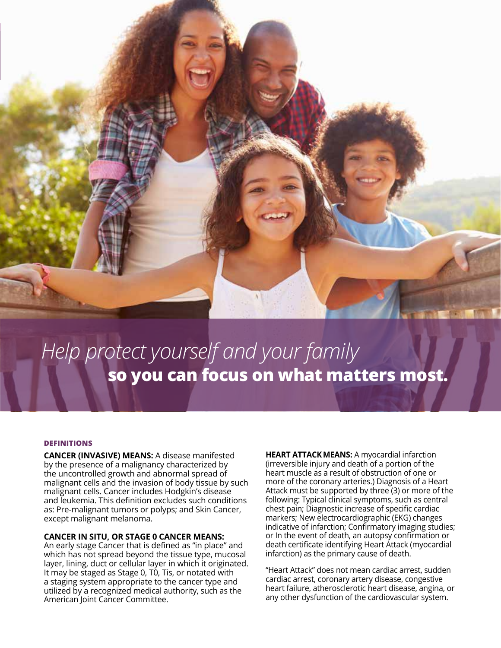

# **so you can focus on what matters most.** *Help protect yourself and your family*

#### **DEFINITIONS**

**CANCER (INVASIVE) MEANS:** A disease manifested by the presence of a malignancy characterized by the uncontrolled growth and abnormal spread of malignant cells and the invasion of body tissue by such malignant cells. Cancer includes Hodgkin's disease and leukemia. This definition excludes such conditions as: Pre-malignant tumors or polyps; and Skin Cancer, except malignant melanoma.

#### **CANCER IN SITU, OR STAGE 0 CANCER MEANS:**

An early stage Cancer that is defined as "in place" and which has not spread beyond the tissue type, mucosal layer, lining, duct or cellular layer in which it originated. It may be staged as Stage 0, T0, Tis, or notated with a staging system appropriate to the cancer type and utilized by a recognized medical authority, such as the American Joint Cancer Committee.

**HEART ATTACKMEANS:** A myocardial infarction (irreversible injury and death of a portion of the heart muscle as a result of obstruction of one or more of the coronary arteries.) Diagnosis of a Heart Attack must be supported by three (3) or more of the following: Typical clinical symptoms, such as central chest pain; Diagnostic increase of specific cardiac markers; New electrocardiographic (EKG) changes indicative of infarction; Confirmatory imaging studies; or In the event of death, an autopsy confirmation or death certificate identifying Heart Attack (myocardial infarction) as the primary cause of death.

"Heart Attack" does not mean cardiac arrest, sudden cardiac arrest, coronary artery disease, congestive heart failure, atherosclerotic heart disease, angina, or any other dysfunction of the cardiovascular system.